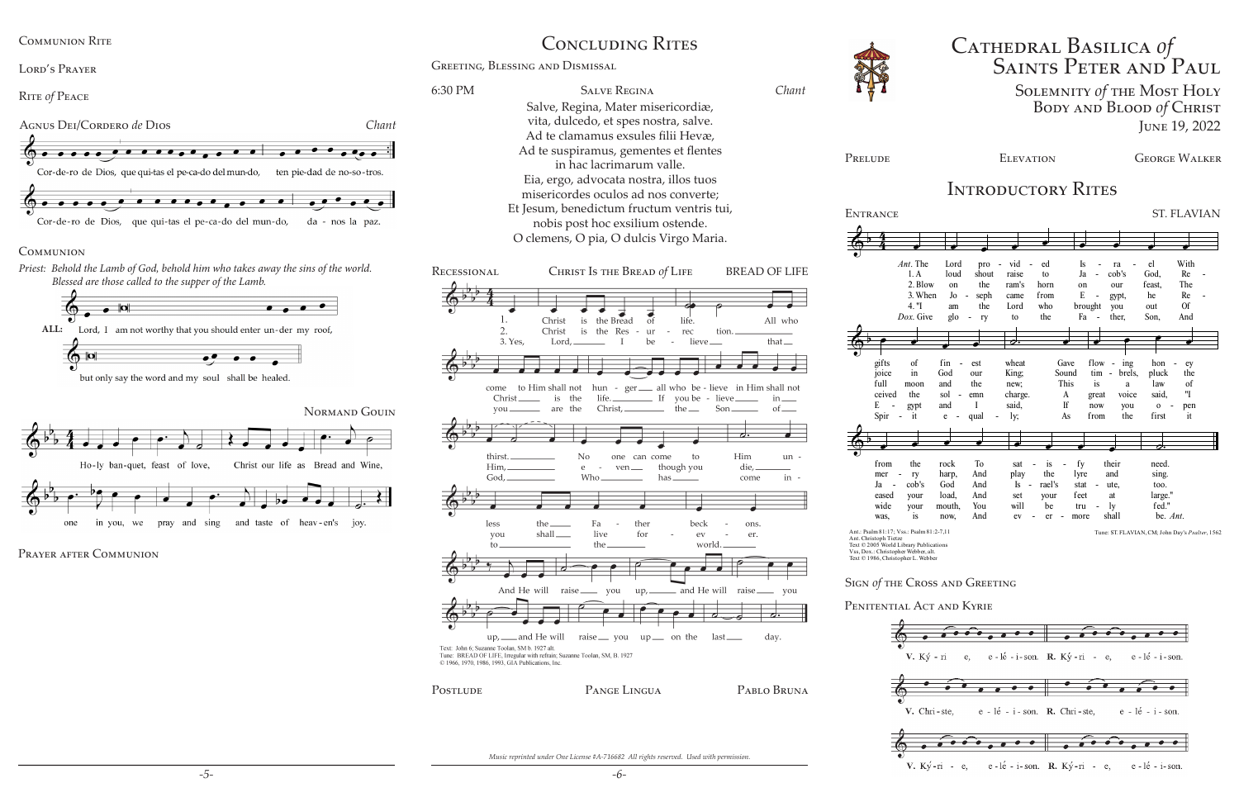# Cathedral Basilica *of* Saints Peter and Paul Solemnity *of* the Most Holy Body and Blood *of* Christ June 19, 2022

PRELUDE ELEVATION GEORGE WALKER

## INTRODUCTORY RITES

ENTRANCE ST. FLAVIAN

Greeting, Blessing and Dismissal

*Music reprinted under One License #A-716682 All rights reserved. Used with permission.*



### **COMMUNION**

*Priest: Behold the Lamb of God, behold him who takes away the sins of the world. Blessed are those called to the supper of the Lamb.*





but only say the word and my soul shall be healed.



PRAYER AFTER COMMUNION

# CONCLUDING RITES

Communion Rite

Lord's Prayer

Rite *of* Peace

|                                                                               | $Ant.$ The                     | Lord           | pro                                | vid                        | ed                             | Is   |                          | ra                                 | el          | With                                            |
|-------------------------------------------------------------------------------|--------------------------------|----------------|------------------------------------|----------------------------|--------------------------------|------|--------------------------|------------------------------------|-------------|-------------------------------------------------|
|                                                                               | 1. A                           | loud           | shout                              | raise                      | to                             | Ja   |                          | c <sub>ob's</sub>                  | God.        | Re                                              |
|                                                                               | 2. Blow                        | on             | the                                | ram's                      | horn                           | on   |                          | our                                | feast,      | The                                             |
|                                                                               | 3. When                        | J <sub>0</sub> | seph<br>$\overline{\phantom{0}}$   | came                       | from                           | E    | $\overline{\phantom{a}}$ | gypt,                              | he          | Re<br>$\overline{\phantom{m}}$                  |
|                                                                               | 4. "I                          | am             | the                                | Lord                       | who                            |      | brought                  | you                                | out         | <b>Of</b>                                       |
|                                                                               | Dox. Give                      | glo            | ry<br>$\qquad \qquad \blacksquare$ | to                         | the                            | Fa   | $\overline{a}$           | ther,                              | Son,        | And                                             |
|                                                                               |                                |                |                                    |                            |                                |      |                          |                                    |             |                                                 |
|                                                                               |                                |                |                                    | $\overline{\mathcal{O}}$ . |                                |      |                          |                                    |             |                                                 |
|                                                                               |                                |                |                                    |                            |                                |      |                          |                                    |             |                                                 |
| gifts                                                                         | of                             | fin            | est                                | wheat                      | Gave                           |      | flow                     | ing<br>$\overline{a}$              | hon         | ey                                              |
| joice                                                                         | in                             | God            | our                                | King;                      | Sound                          |      | tim                      | brels,<br>$\overline{\phantom{a}}$ | pluck       | the                                             |
| full                                                                          | moon                           | and            | the                                | new;                       | This                           |      | is                       | $\mathbf{a}$                       | law         | of                                              |
| ceived                                                                        | the                            | sol            | emn                                | charge.                    | A                              |      | great                    | voice                              | said.       | "I                                              |
| E                                                                             | gypt                           | and            | I                                  | said.                      | If                             |      | now                      | you                                | $\mathbf 0$ | pen                                             |
| Spir                                                                          | it<br>$\overline{a}$           | e              | qual                               | ly;                        | As                             |      | from                     | the                                | first       | it                                              |
|                                                                               |                                |                |                                    |                            |                                |      |                          |                                    |             |                                                 |
|                                                                               |                                |                |                                    |                            |                                |      |                          |                                    |             |                                                 |
|                                                                               |                                |                |                                    |                            |                                |      |                          |                                    | σ.          |                                                 |
| from                                                                          | the                            | rock           | <b>To</b>                          | sat                        | is                             | fy   |                          | their                              | need.       |                                                 |
| mer                                                                           | ry<br>$\overline{\phantom{0}}$ | harp,          | And                                | play                       | the                            | lyre |                          | and                                | sing.       |                                                 |
| Ja                                                                            | $\cosh's$<br>$\overline{a}$    | God            | And                                | Is<br>$\sim$               | rael's                         | stat |                          | ute.                               | too.        |                                                 |
| eased                                                                         | your                           | load,          | And                                | set                        | your                           | feet |                          | at                                 | large."     |                                                 |
| wide                                                                          | your                           | mouth,         | You                                | will                       | be                             | tru  |                          | ly                                 | fed."       |                                                 |
| was,                                                                          | is                             | now,           | And                                | ev                         | er<br>$\overline{\phantom{a}}$ | more |                          | shall                              | be. Ant.    |                                                 |
| Ant.: Psalm 81:17; Vss.: Psalm 81:2-7,11                                      |                                |                |                                    |                            |                                |      |                          |                                    |             | Tune: ST. FLAVIAN, CM; John Day's Psalter, 1562 |
| Ant. Christoph Tietze                                                         |                                |                |                                    |                            |                                |      |                          |                                    |             |                                                 |
| Text © 2005 World Library Publications<br>Vss, Dox.: Christopher Webber, alt. |                                |                |                                    |                            |                                |      |                          |                                    |             |                                                 |
| Text © 1986, Christopher L. Webber                                            |                                |                |                                    |                            |                                |      |                          |                                    |             |                                                 |
|                                                                               |                                |                |                                    |                            |                                |      |                          |                                    |             |                                                 |
| SIGN Of THE CROSS AND GREETING                                                |                                |                |                                    |                            |                                |      |                          |                                    |             |                                                 |
|                                                                               |                                |                |                                    |                            |                                |      |                          |                                    |             |                                                 |
| PENITENTIAL ACT AND KYRIE                                                     |                                |                |                                    |                            |                                |      |                          |                                    |             |                                                 |